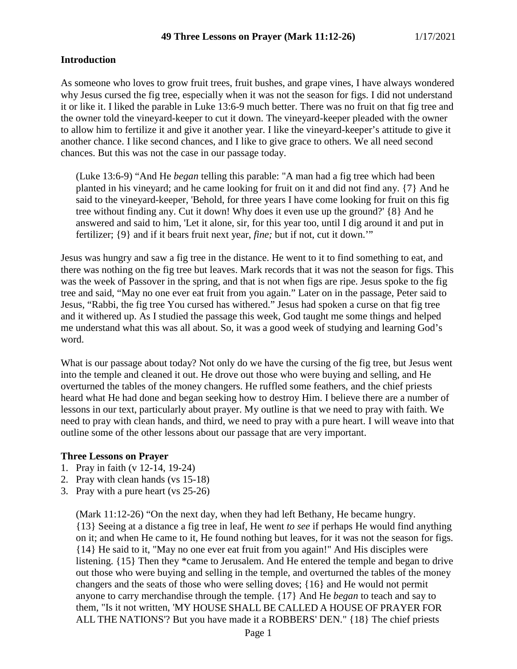## **Introduction**

As someone who loves to grow fruit trees, fruit bushes, and grape vines, I have always wondered why Jesus cursed the fig tree, especially when it was not the season for figs. I did not understand it or like it. I liked the parable in Luke 13:6-9 much better. There was no fruit on that fig tree and the owner told the vineyard-keeper to cut it down. The vineyard-keeper pleaded with the owner to allow him to fertilize it and give it another year. I like the vineyard-keeper's attitude to give it another chance. I like second chances, and I like to give grace to others. We all need second chances. But this was not the case in our passage today.

(Luke 13:6-9) "And He *began* telling this parable: "A man had a fig tree which had been planted in his vineyard; and he came looking for fruit on it and did not find any. {7} And he said to the vineyard-keeper, 'Behold, for three years I have come looking for fruit on this fig tree without finding any. Cut it down! Why does it even use up the ground?' {8} And he answered and said to him, 'Let it alone, sir, for this year too, until I dig around it and put in fertilizer; {9} and if it bears fruit next year, *fine;* but if not, cut it down.'"

Jesus was hungry and saw a fig tree in the distance. He went to it to find something to eat, and there was nothing on the fig tree but leaves. Mark records that it was not the season for figs. This was the week of Passover in the spring, and that is not when figs are ripe. Jesus spoke to the fig tree and said, "May no one ever eat fruit from you again." Later on in the passage, Peter said to Jesus, "Rabbi, the fig tree You cursed has withered." Jesus had spoken a curse on that fig tree and it withered up. As I studied the passage this week, God taught me some things and helped me understand what this was all about. So, it was a good week of studying and learning God's word.

What is our passage about today? Not only do we have the cursing of the fig tree, but Jesus went into the temple and cleaned it out. He drove out those who were buying and selling, and He overturned the tables of the money changers. He ruffled some feathers, and the chief priests heard what He had done and began seeking how to destroy Him. I believe there are a number of lessons in our text, particularly about prayer. My outline is that we need to pray with faith. We need to pray with clean hands, and third, we need to pray with a pure heart. I will weave into that outline some of the other lessons about our passage that are very important.

#### **Three Lessons on Prayer**

- 1. Pray in faith (v 12-14, 19-24)
- 2. Pray with clean hands (vs 15-18)
- 3. Pray with a pure heart (vs 25-26)

(Mark 11:12-26) "On the next day, when they had left Bethany, He became hungry. {13} Seeing at a distance a fig tree in leaf, He went *to see* if perhaps He would find anything on it; and when He came to it, He found nothing but leaves, for it was not the season for figs. {14} He said to it, "May no one ever eat fruit from you again!" And His disciples were listening. {15} Then they \*came to Jerusalem. And He entered the temple and began to drive out those who were buying and selling in the temple, and overturned the tables of the money changers and the seats of those who were selling doves; {16} and He would not permit anyone to carry merchandise through the temple. {17} And He *began* to teach and say to them, "Is it not written, 'MY HOUSE SHALL BE CALLED A HOUSE OF PRAYER FOR ALL THE NATIONS'? But you have made it a ROBBERS' DEN." {18} The chief priests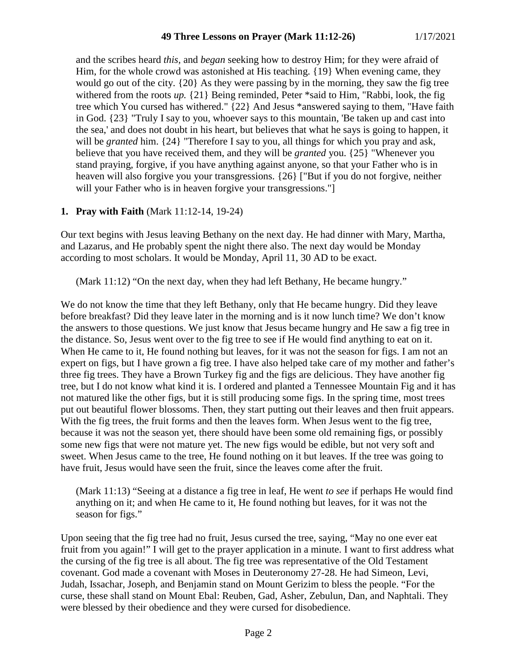and the scribes heard *this,* and *began* seeking how to destroy Him; for they were afraid of Him, for the whole crowd was astonished at His teaching. {19} When evening came, they would go out of the city. {20} As they were passing by in the morning, they saw the fig tree withered from the roots *up.* {21} Being reminded, Peter \*said to Him, "Rabbi, look, the fig tree which You cursed has withered." {22} And Jesus \*answered saying to them, "Have faith in God. {23} "Truly I say to you, whoever says to this mountain, 'Be taken up and cast into the sea,' and does not doubt in his heart, but believes that what he says is going to happen, it will be *granted* him. {24} "Therefore I say to you, all things for which you pray and ask, believe that you have received them, and they will be *granted* you. {25} "Whenever you stand praying, forgive, if you have anything against anyone, so that your Father who is in heaven will also forgive you your transgressions. {26} ["But if you do not forgive, neither will your Father who is in heaven forgive your transgressions."]

## **1. Pray with Faith** (Mark 11:12-14, 19-24)

Our text begins with Jesus leaving Bethany on the next day. He had dinner with Mary, Martha, and Lazarus, and He probably spent the night there also. The next day would be Monday according to most scholars. It would be Monday, April 11, 30 AD to be exact.

(Mark 11:12) "On the next day, when they had left Bethany, He became hungry."

We do not know the time that they left Bethany, only that He became hungry. Did they leave before breakfast? Did they leave later in the morning and is it now lunch time? We don't know the answers to those questions. We just know that Jesus became hungry and He saw a fig tree in the distance. So, Jesus went over to the fig tree to see if He would find anything to eat on it. When He came to it, He found nothing but leaves, for it was not the season for figs. I am not an expert on figs, but I have grown a fig tree. I have also helped take care of my mother and father's three fig trees. They have a Brown Turkey fig and the figs are delicious. They have another fig tree, but I do not know what kind it is. I ordered and planted a Tennessee Mountain Fig and it has not matured like the other figs, but it is still producing some figs. In the spring time, most trees put out beautiful flower blossoms. Then, they start putting out their leaves and then fruit appears. With the fig trees, the fruit forms and then the leaves form. When Jesus went to the fig tree, because it was not the season yet, there should have been some old remaining figs, or possibly some new figs that were not mature yet. The new figs would be edible, but not very soft and sweet. When Jesus came to the tree, He found nothing on it but leaves. If the tree was going to have fruit, Jesus would have seen the fruit, since the leaves come after the fruit.

(Mark 11:13) "Seeing at a distance a fig tree in leaf, He went *to see* if perhaps He would find anything on it; and when He came to it, He found nothing but leaves, for it was not the season for figs."

Upon seeing that the fig tree had no fruit, Jesus cursed the tree, saying, "May no one ever eat fruit from you again!" I will get to the prayer application in a minute. I want to first address what the cursing of the fig tree is all about. The fig tree was representative of the Old Testament covenant. God made a covenant with Moses in Deuteronomy 27-28. He had Simeon, Levi, Judah, Issachar, Joseph, and Benjamin stand on Mount Gerizim to bless the people. "For the curse, these shall stand on Mount Ebal: Reuben, Gad, Asher, Zebulun, Dan, and Naphtali. They were blessed by their obedience and they were cursed for disobedience.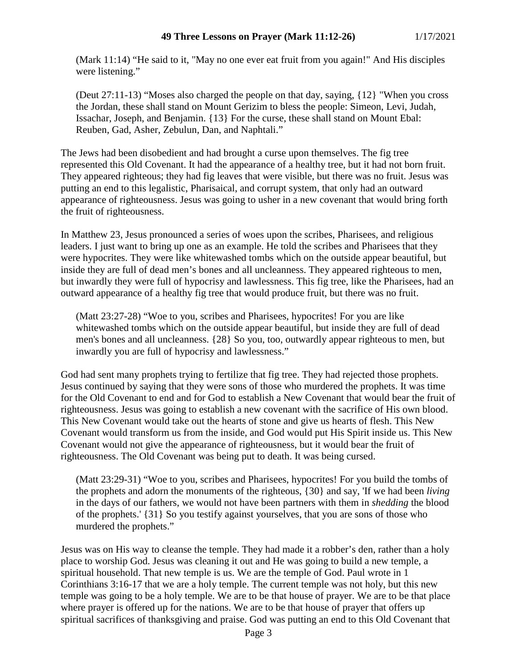(Mark 11:14) "He said to it, "May no one ever eat fruit from you again!" And His disciples were listening."

(Deut 27:11-13) "Moses also charged the people on that day, saying, {12} "When you cross the Jordan, these shall stand on Mount Gerizim to bless the people: Simeon, Levi, Judah, Issachar, Joseph, and Benjamin. {13} For the curse, these shall stand on Mount Ebal: Reuben, Gad, Asher, Zebulun, Dan, and Naphtali."

The Jews had been disobedient and had brought a curse upon themselves. The fig tree represented this Old Covenant. It had the appearance of a healthy tree, but it had not born fruit. They appeared righteous; they had fig leaves that were visible, but there was no fruit. Jesus was putting an end to this legalistic, Pharisaical, and corrupt system, that only had an outward appearance of righteousness. Jesus was going to usher in a new covenant that would bring forth the fruit of righteousness.

In Matthew 23, Jesus pronounced a series of woes upon the scribes, Pharisees, and religious leaders. I just want to bring up one as an example. He told the scribes and Pharisees that they were hypocrites. They were like whitewashed tombs which on the outside appear beautiful, but inside they are full of dead men's bones and all uncleanness. They appeared righteous to men, but inwardly they were full of hypocrisy and lawlessness. This fig tree, like the Pharisees, had an outward appearance of a healthy fig tree that would produce fruit, but there was no fruit.

(Matt 23:27-28) "Woe to you, scribes and Pharisees, hypocrites! For you are like whitewashed tombs which on the outside appear beautiful, but inside they are full of dead men's bones and all uncleanness. {28} So you, too, outwardly appear righteous to men, but inwardly you are full of hypocrisy and lawlessness."

God had sent many prophets trying to fertilize that fig tree. They had rejected those prophets. Jesus continued by saying that they were sons of those who murdered the prophets. It was time for the Old Covenant to end and for God to establish a New Covenant that would bear the fruit of righteousness. Jesus was going to establish a new covenant with the sacrifice of His own blood. This New Covenant would take out the hearts of stone and give us hearts of flesh. This New Covenant would transform us from the inside, and God would put His Spirit inside us. This New Covenant would not give the appearance of righteousness, but it would bear the fruit of righteousness. The Old Covenant was being put to death. It was being cursed.

(Matt 23:29-31) "Woe to you, scribes and Pharisees, hypocrites! For you build the tombs of the prophets and adorn the monuments of the righteous, {30} and say, 'If we had been *living* in the days of our fathers, we would not have been partners with them in *shedding* the blood of the prophets.' {31} So you testify against yourselves, that you are sons of those who murdered the prophets."

Jesus was on His way to cleanse the temple. They had made it a robber's den, rather than a holy place to worship God. Jesus was cleaning it out and He was going to build a new temple, a spiritual household. That new temple is us. We are the temple of God. Paul wrote in 1 Corinthians 3:16-17 that we are a holy temple. The current temple was not holy, but this new temple was going to be a holy temple. We are to be that house of prayer. We are to be that place where prayer is offered up for the nations. We are to be that house of prayer that offers up spiritual sacrifices of thanksgiving and praise. God was putting an end to this Old Covenant that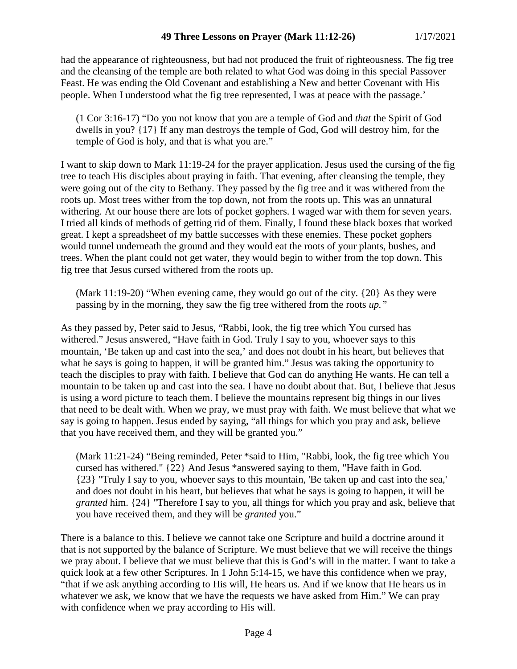had the appearance of righteousness, but had not produced the fruit of righteousness. The fig tree and the cleansing of the temple are both related to what God was doing in this special Passover Feast. He was ending the Old Covenant and establishing a New and better Covenant with His people. When I understood what the fig tree represented, I was at peace with the passage.'

(1 Cor 3:16-17) "Do you not know that you are a temple of God and *that* the Spirit of God dwells in you? {17} If any man destroys the temple of God, God will destroy him, for the temple of God is holy, and that is what you are."

I want to skip down to Mark 11:19-24 for the prayer application. Jesus used the cursing of the fig tree to teach His disciples about praying in faith. That evening, after cleansing the temple, they were going out of the city to Bethany. They passed by the fig tree and it was withered from the roots up. Most trees wither from the top down, not from the roots up. This was an unnatural withering. At our house there are lots of pocket gophers. I waged war with them for seven years. I tried all kinds of methods of getting rid of them. Finally, I found these black boxes that worked great. I kept a spreadsheet of my battle successes with these enemies. These pocket gophers would tunnel underneath the ground and they would eat the roots of your plants, bushes, and trees. When the plant could not get water, they would begin to wither from the top down. This fig tree that Jesus cursed withered from the roots up.

(Mark 11:19-20) "When evening came, they would go out of the city. {20} As they were passing by in the morning, they saw the fig tree withered from the roots *up."*

As they passed by, Peter said to Jesus, "Rabbi, look, the fig tree which You cursed has withered." Jesus answered, "Have faith in God. Truly I say to you, whoever says to this mountain, 'Be taken up and cast into the sea,' and does not doubt in his heart, but believes that what he says is going to happen, it will be granted him." Jesus was taking the opportunity to teach the disciples to pray with faith. I believe that God can do anything He wants. He can tell a mountain to be taken up and cast into the sea. I have no doubt about that. But, I believe that Jesus is using a word picture to teach them. I believe the mountains represent big things in our lives that need to be dealt with. When we pray, we must pray with faith. We must believe that what we say is going to happen. Jesus ended by saying, "all things for which you pray and ask, believe that you have received them, and they will be granted you."

(Mark 11:21-24) "Being reminded, Peter \*said to Him, "Rabbi, look, the fig tree which You cursed has withered." {22} And Jesus \*answered saying to them, "Have faith in God. {23} "Truly I say to you, whoever says to this mountain, 'Be taken up and cast into the sea,' and does not doubt in his heart, but believes that what he says is going to happen, it will be *granted* him. {24} "Therefore I say to you, all things for which you pray and ask, believe that you have received them, and they will be *granted* you."

There is a balance to this. I believe we cannot take one Scripture and build a doctrine around it that is not supported by the balance of Scripture. We must believe that we will receive the things we pray about. I believe that we must believe that this is God's will in the matter. I want to take a quick look at a few other Scriptures. In 1 John 5:14-15, we have this confidence when we pray, "that if we ask anything according to His will, He hears us. And if we know that He hears us in whatever we ask, we know that we have the requests we have asked from Him." We can pray with confidence when we pray according to His will.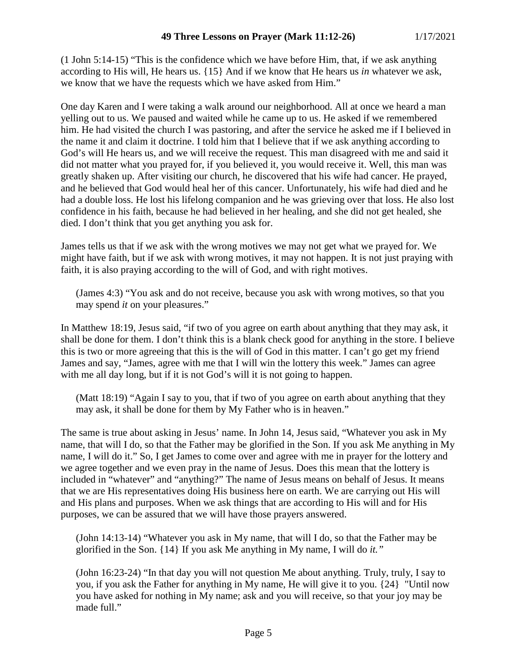(1 John 5:14-15) "This is the confidence which we have before Him, that, if we ask anything according to His will, He hears us. {15} And if we know that He hears us *in* whatever we ask, we know that we have the requests which we have asked from Him."

One day Karen and I were taking a walk around our neighborhood. All at once we heard a man yelling out to us. We paused and waited while he came up to us. He asked if we remembered him. He had visited the church I was pastoring, and after the service he asked me if I believed in the name it and claim it doctrine. I told him that I believe that if we ask anything according to God's will He hears us, and we will receive the request. This man disagreed with me and said it did not matter what you prayed for, if you believed it, you would receive it. Well, this man was greatly shaken up. After visiting our church, he discovered that his wife had cancer. He prayed, and he believed that God would heal her of this cancer. Unfortunately, his wife had died and he had a double loss. He lost his lifelong companion and he was grieving over that loss. He also lost confidence in his faith, because he had believed in her healing, and she did not get healed, she died. I don't think that you get anything you ask for.

James tells us that if we ask with the wrong motives we may not get what we prayed for. We might have faith, but if we ask with wrong motives, it may not happen. It is not just praying with faith, it is also praying according to the will of God, and with right motives.

(James 4:3) "You ask and do not receive, because you ask with wrong motives, so that you may spend *it* on your pleasures."

In Matthew 18:19, Jesus said, "if two of you agree on earth about anything that they may ask, it shall be done for them. I don't think this is a blank check good for anything in the store. I believe this is two or more agreeing that this is the will of God in this matter. I can't go get my friend James and say, "James, agree with me that I will win the lottery this week." James can agree with me all day long, but if it is not God's will it is not going to happen.

(Matt 18:19) "Again I say to you, that if two of you agree on earth about anything that they may ask, it shall be done for them by My Father who is in heaven."

The same is true about asking in Jesus' name. In John 14, Jesus said, "Whatever you ask in My name, that will I do, so that the Father may be glorified in the Son. If you ask Me anything in My name, I will do it." So, I get James to come over and agree with me in prayer for the lottery and we agree together and we even pray in the name of Jesus. Does this mean that the lottery is included in "whatever" and "anything?" The name of Jesus means on behalf of Jesus. It means that we are His representatives doing His business here on earth. We are carrying out His will and His plans and purposes. When we ask things that are according to His will and for His purposes, we can be assured that we will have those prayers answered.

(John 14:13-14) "Whatever you ask in My name, that will I do, so that the Father may be glorified in the Son. {14} If you ask Me anything in My name, I will do *it."*

(John 16:23-24) "In that day you will not question Me about anything. Truly, truly, I say to you, if you ask the Father for anything in My name, He will give it to you. {24} "Until now you have asked for nothing in My name; ask and you will receive, so that your joy may be made full."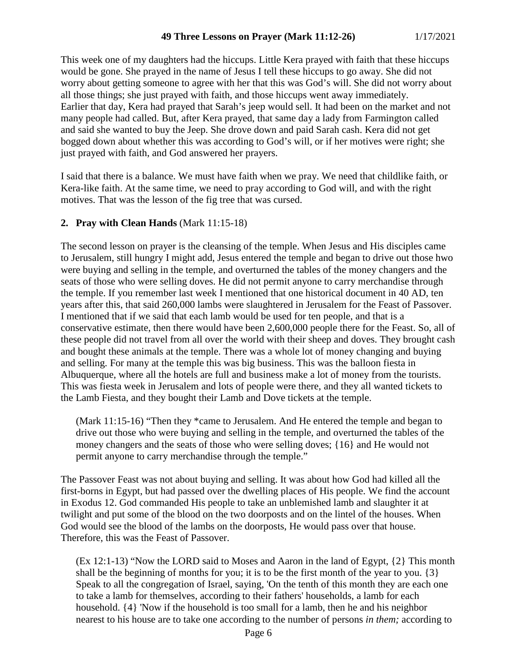This week one of my daughters had the hiccups. Little Kera prayed with faith that these hiccups would be gone. She prayed in the name of Jesus I tell these hiccups to go away. She did not worry about getting someone to agree with her that this was God's will. She did not worry about all those things; she just prayed with faith, and those hiccups went away immediately. Earlier that day, Kera had prayed that Sarah's jeep would sell. It had been on the market and not many people had called. But, after Kera prayed, that same day a lady from Farmington called and said she wanted to buy the Jeep. She drove down and paid Sarah cash. Kera did not get bogged down about whether this was according to God's will, or if her motives were right; she just prayed with faith, and God answered her prayers.

I said that there is a balance. We must have faith when we pray. We need that childlike faith, or Kera-like faith. At the same time, we need to pray according to God will, and with the right motives. That was the lesson of the fig tree that was cursed.

## **2. Pray with Clean Hands** (Mark 11:15-18)

The second lesson on prayer is the cleansing of the temple. When Jesus and His disciples came to Jerusalem, still hungry I might add, Jesus entered the temple and began to drive out those hwo were buying and selling in the temple, and overturned the tables of the money changers and the seats of those who were selling doves. He did not permit anyone to carry merchandise through the temple. If you remember last week I mentioned that one historical document in 40 AD, ten years after this, that said 260,000 lambs were slaughtered in Jerusalem for the Feast of Passover. I mentioned that if we said that each lamb would be used for ten people, and that is a conservative estimate, then there would have been 2,600,000 people there for the Feast. So, all of these people did not travel from all over the world with their sheep and doves. They brought cash and bought these animals at the temple. There was a whole lot of money changing and buying and selling. For many at the temple this was big business. This was the balloon fiesta in Albuquerque, where all the hotels are full and business make a lot of money from the tourists. This was fiesta week in Jerusalem and lots of people were there, and they all wanted tickets to the Lamb Fiesta, and they bought their Lamb and Dove tickets at the temple.

(Mark 11:15-16) "Then they \*came to Jerusalem. And He entered the temple and began to drive out those who were buying and selling in the temple, and overturned the tables of the money changers and the seats of those who were selling doves; {16} and He would not permit anyone to carry merchandise through the temple."

The Passover Feast was not about buying and selling. It was about how God had killed all the first-borns in Egypt, but had passed over the dwelling places of His people. We find the account in Exodus 12. God commanded His people to take an unblemished lamb and slaughter it at twilight and put some of the blood on the two doorposts and on the lintel of the houses. When God would see the blood of the lambs on the doorposts, He would pass over that house. Therefore, this was the Feast of Passover.

(Ex 12:1-13) "Now the LORD said to Moses and Aaron in the land of Egypt, {2} This month shall be the beginning of months for you; it is to be the first month of the year to you. {3} Speak to all the congregation of Israel, saying, 'On the tenth of this month they are each one to take a lamb for themselves, according to their fathers' households, a lamb for each household. {4} 'Now if the household is too small for a lamb, then he and his neighbor nearest to his house are to take one according to the number of persons *in them;* according to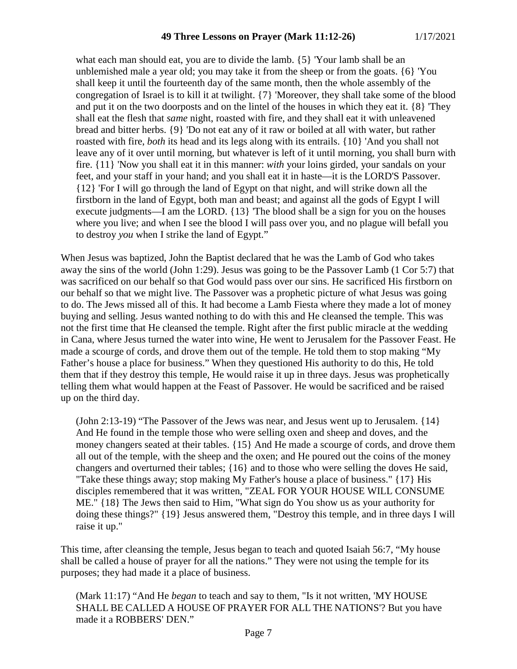what each man should eat, you are to divide the lamb. {5} 'Your lamb shall be an unblemished male a year old; you may take it from the sheep or from the goats. {6} 'You shall keep it until the fourteenth day of the same month, then the whole assembly of the congregation of Israel is to kill it at twilight. {7} 'Moreover, they shall take some of the blood and put it on the two doorposts and on the lintel of the houses in which they eat it. {8} 'They shall eat the flesh that *same* night, roasted with fire, and they shall eat it with unleavened bread and bitter herbs. {9} 'Do not eat any of it raw or boiled at all with water, but rather roasted with fire, *both* its head and its legs along with its entrails. {10} 'And you shall not leave any of it over until morning, but whatever is left of it until morning, you shall burn with fire. {11} 'Now you shall eat it in this manner: *with* your loins girded, your sandals on your feet, and your staff in your hand; and you shall eat it in haste—it is the LORD'S Passover. {12} 'For I will go through the land of Egypt on that night, and will strike down all the firstborn in the land of Egypt, both man and beast; and against all the gods of Egypt I will execute judgments—I am the LORD. {13} 'The blood shall be a sign for you on the houses where you live; and when I see the blood I will pass over you, and no plague will befall you to destroy *you* when I strike the land of Egypt."

When Jesus was baptized, John the Baptist declared that he was the Lamb of God who takes away the sins of the world (John 1:29). Jesus was going to be the Passover Lamb (1 Cor 5:7) that was sacrificed on our behalf so that God would pass over our sins. He sacrificed His firstborn on our behalf so that we might live. The Passover was a prophetic picture of what Jesus was going to do. The Jews missed all of this. It had become a Lamb Fiesta where they made a lot of money buying and selling. Jesus wanted nothing to do with this and He cleansed the temple. This was not the first time that He cleansed the temple. Right after the first public miracle at the wedding in Cana, where Jesus turned the water into wine, He went to Jerusalem for the Passover Feast. He made a scourge of cords, and drove them out of the temple. He told them to stop making "My Father's house a place for business." When they questioned His authority to do this, He told them that if they destroy this temple, He would raise it up in three days. Jesus was prophetically telling them what would happen at the Feast of Passover. He would be sacrificed and be raised up on the third day.

(John 2:13-19) "The Passover of the Jews was near, and Jesus went up to Jerusalem. {14} And He found in the temple those who were selling oxen and sheep and doves, and the money changers seated at their tables. {15} And He made a scourge of cords, and drove them all out of the temple, with the sheep and the oxen; and He poured out the coins of the money changers and overturned their tables; {16} and to those who were selling the doves He said, "Take these things away; stop making My Father's house a place of business." {17} His disciples remembered that it was written, "ZEAL FOR YOUR HOUSE WILL CONSUME ME." {18} The Jews then said to Him, "What sign do You show us as your authority for doing these things?" {19} Jesus answered them, "Destroy this temple, and in three days I will raise it up."

This time, after cleansing the temple, Jesus began to teach and quoted Isaiah 56:7, "My house shall be called a house of prayer for all the nations." They were not using the temple for its purposes; they had made it a place of business.

(Mark 11:17) "And He *began* to teach and say to them, "Is it not written, 'MY HOUSE SHALL BE CALLED A HOUSE OF PRAYER FOR ALL THE NATIONS'? But you have made it a ROBBERS' DEN."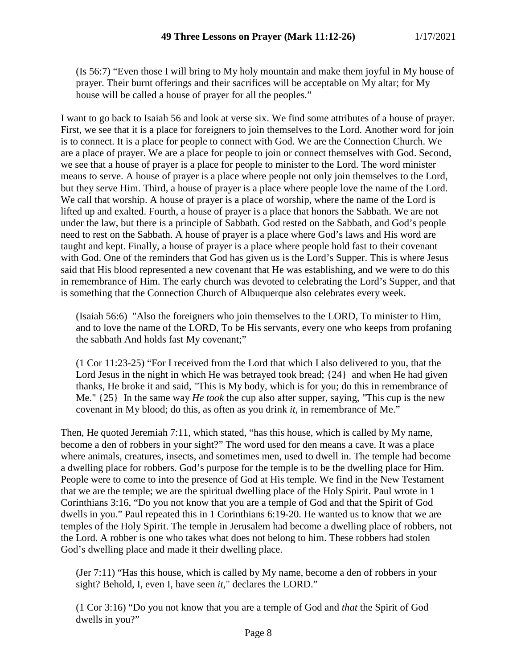(Is 56:7) "Even those I will bring to My holy mountain and make them joyful in My house of prayer. Their burnt offerings and their sacrifices will be acceptable on My altar; for My house will be called a house of prayer for all the peoples."

I want to go back to Isaiah 56 and look at verse six. We find some attributes of a house of prayer. First, we see that it is a place for foreigners to join themselves to the Lord. Another word for join is to connect. It is a place for people to connect with God. We are the Connection Church. We are a place of prayer. We are a place for people to join or connect themselves with God. Second, we see that a house of prayer is a place for people to minister to the Lord. The word minister means to serve. A house of prayer is a place where people not only join themselves to the Lord, but they serve Him. Third, a house of prayer is a place where people love the name of the Lord. We call that worship. A house of prayer is a place of worship, where the name of the Lord is lifted up and exalted. Fourth, a house of prayer is a place that honors the Sabbath. We are not under the law, but there is a principle of Sabbath. God rested on the Sabbath, and God's people need to rest on the Sabbath. A house of prayer is a place where God's laws and His word are taught and kept. Finally, a house of prayer is a place where people hold fast to their covenant with God. One of the reminders that God has given us is the Lord's Supper. This is where Jesus said that His blood represented a new covenant that He was establishing, and we were to do this in remembrance of Him. The early church was devoted to celebrating the Lord's Supper, and that is something that the Connection Church of Albuquerque also celebrates every week.

(Isaiah 56:6) "Also the foreigners who join themselves to the LORD, To minister to Him, and to love the name of the LORD, To be His servants, every one who keeps from profaning the sabbath And holds fast My covenant;"

(1 Cor 11:23-25) "For I received from the Lord that which I also delivered to you, that the Lord Jesus in the night in which He was betrayed took bread; {24} and when He had given thanks, He broke it and said, "This is My body, which is for you; do this in remembrance of Me." {25} In the same way *He took* the cup also after supper, saying, "This cup is the new covenant in My blood; do this, as often as you drink *it,* in remembrance of Me."

Then, He quoted Jeremiah 7:11, which stated, "has this house, which is called by My name, become a den of robbers in your sight?" The word used for den means a cave. It was a place where animals, creatures, insects, and sometimes men, used to dwell in. The temple had become a dwelling place for robbers. God's purpose for the temple is to be the dwelling place for Him. People were to come to into the presence of God at His temple. We find in the New Testament that we are the temple; we are the spiritual dwelling place of the Holy Spirit. Paul wrote in 1 Corinthians 3:16, "Do you not know that you are a temple of God and that the Spirit of God dwells in you." Paul repeated this in 1 Corinthians 6:19-20. He wanted us to know that we are temples of the Holy Spirit. The temple in Jerusalem had become a dwelling place of robbers, not the Lord. A robber is one who takes what does not belong to him. These robbers had stolen God's dwelling place and made it their dwelling place.

(Jer 7:11) "Has this house, which is called by My name, become a den of robbers in your sight? Behold, I, even I, have seen *it,*" declares the LORD."

(1 Cor 3:16) "Do you not know that you are a temple of God and *that* the Spirit of God dwells in you?"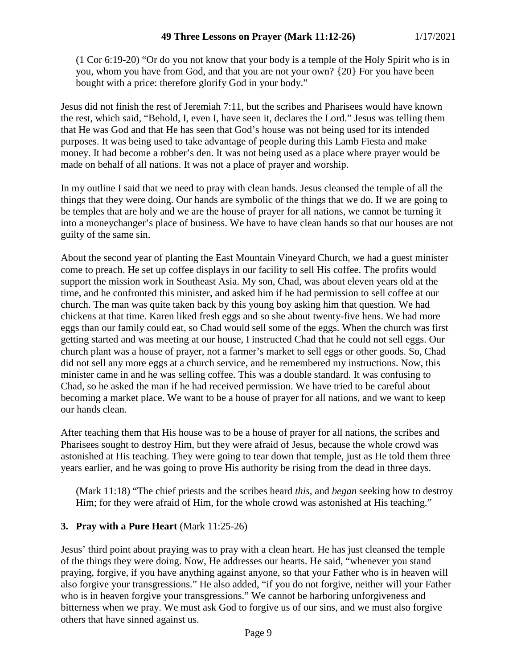(1 Cor 6:19-20) "Or do you not know that your body is a temple of the Holy Spirit who is in you, whom you have from God, and that you are not your own? {20} For you have been bought with a price: therefore glorify God in your body."

Jesus did not finish the rest of Jeremiah 7:11, but the scribes and Pharisees would have known the rest, which said, "Behold, I, even I, have seen it, declares the Lord." Jesus was telling them that He was God and that He has seen that God's house was not being used for its intended purposes. It was being used to take advantage of people during this Lamb Fiesta and make money. It had become a robber's den. It was not being used as a place where prayer would be made on behalf of all nations. It was not a place of prayer and worship.

In my outline I said that we need to pray with clean hands. Jesus cleansed the temple of all the things that they were doing. Our hands are symbolic of the things that we do. If we are going to be temples that are holy and we are the house of prayer for all nations, we cannot be turning it into a moneychanger's place of business. We have to have clean hands so that our houses are not guilty of the same sin.

About the second year of planting the East Mountain Vineyard Church, we had a guest minister come to preach. He set up coffee displays in our facility to sell His coffee. The profits would support the mission work in Southeast Asia. My son, Chad, was about eleven years old at the time, and he confronted this minister, and asked him if he had permission to sell coffee at our church. The man was quite taken back by this young boy asking him that question. We had chickens at that time. Karen liked fresh eggs and so she about twenty-five hens. We had more eggs than our family could eat, so Chad would sell some of the eggs. When the church was first getting started and was meeting at our house, I instructed Chad that he could not sell eggs. Our church plant was a house of prayer, not a farmer's market to sell eggs or other goods. So, Chad did not sell any more eggs at a church service, and he remembered my instructions. Now, this minister came in and he was selling coffee. This was a double standard. It was confusing to Chad, so he asked the man if he had received permission. We have tried to be careful about becoming a market place. We want to be a house of prayer for all nations, and we want to keep our hands clean.

After teaching them that His house was to be a house of prayer for all nations, the scribes and Pharisees sought to destroy Him, but they were afraid of Jesus, because the whole crowd was astonished at His teaching. They were going to tear down that temple, just as He told them three years earlier, and he was going to prove His authority be rising from the dead in three days.

(Mark 11:18) "The chief priests and the scribes heard *this,* and *began* seeking how to destroy Him; for they were afraid of Him, for the whole crowd was astonished at His teaching."

# **3. Pray with a Pure Heart** (Mark 11:25-26)

Jesus' third point about praying was to pray with a clean heart. He has just cleansed the temple of the things they were doing. Now, He addresses our hearts. He said, "whenever you stand praying, forgive, if you have anything against anyone, so that your Father who is in heaven will also forgive your transgressions." He also added, "if you do not forgive, neither will your Father who is in heaven forgive your transgressions." We cannot be harboring unforgiveness and bitterness when we pray. We must ask God to forgive us of our sins, and we must also forgive others that have sinned against us.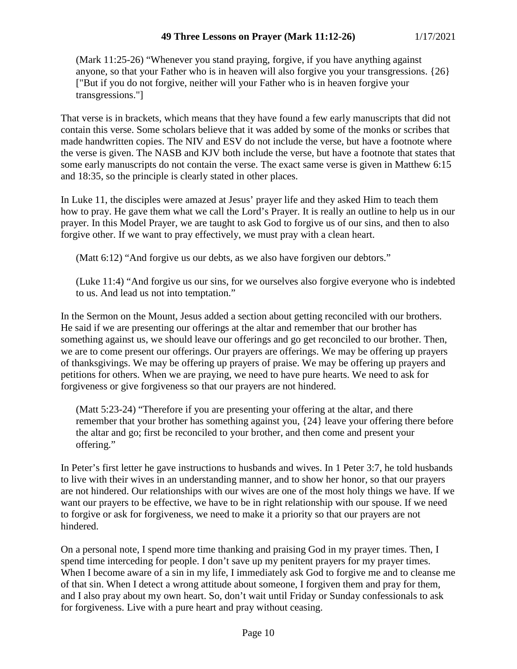(Mark 11:25-26) "Whenever you stand praying, forgive, if you have anything against anyone, so that your Father who is in heaven will also forgive you your transgressions. {26} ["But if you do not forgive, neither will your Father who is in heaven forgive your transgressions."]

That verse is in brackets, which means that they have found a few early manuscripts that did not contain this verse. Some scholars believe that it was added by some of the monks or scribes that made handwritten copies. The NIV and ESV do not include the verse, but have a footnote where the verse is given. The NASB and KJV both include the verse, but have a footnote that states that some early manuscripts do not contain the verse. The exact same verse is given in Matthew 6:15 and 18:35, so the principle is clearly stated in other places.

In Luke 11, the disciples were amazed at Jesus' prayer life and they asked Him to teach them how to pray. He gave them what we call the Lord's Prayer. It is really an outline to help us in our prayer. In this Model Prayer, we are taught to ask God to forgive us of our sins, and then to also forgive other. If we want to pray effectively, we must pray with a clean heart.

(Matt 6:12) "And forgive us our debts, as we also have forgiven our debtors."

(Luke 11:4) "And forgive us our sins, for we ourselves also forgive everyone who is indebted to us. And lead us not into temptation."

In the Sermon on the Mount, Jesus added a section about getting reconciled with our brothers. He said if we are presenting our offerings at the altar and remember that our brother has something against us, we should leave our offerings and go get reconciled to our brother. Then, we are to come present our offerings. Our prayers are offerings. We may be offering up prayers of thanksgivings. We may be offering up prayers of praise. We may be offering up prayers and petitions for others. When we are praying, we need to have pure hearts. We need to ask for forgiveness or give forgiveness so that our prayers are not hindered.

(Matt 5:23-24) "Therefore if you are presenting your offering at the altar, and there remember that your brother has something against you, {24} leave your offering there before the altar and go; first be reconciled to your brother, and then come and present your offering."

In Peter's first letter he gave instructions to husbands and wives. In 1 Peter 3:7, he told husbands to live with their wives in an understanding manner, and to show her honor, so that our prayers are not hindered. Our relationships with our wives are one of the most holy things we have. If we want our prayers to be effective, we have to be in right relationship with our spouse. If we need to forgive or ask for forgiveness, we need to make it a priority so that our prayers are not hindered.

On a personal note, I spend more time thanking and praising God in my prayer times. Then, I spend time interceding for people. I don't save up my penitent prayers for my prayer times. When I become aware of a sin in my life, I immediately ask God to forgive me and to cleanse me of that sin. When I detect a wrong attitude about someone, I forgiven them and pray for them, and I also pray about my own heart. So, don't wait until Friday or Sunday confessionals to ask for forgiveness. Live with a pure heart and pray without ceasing.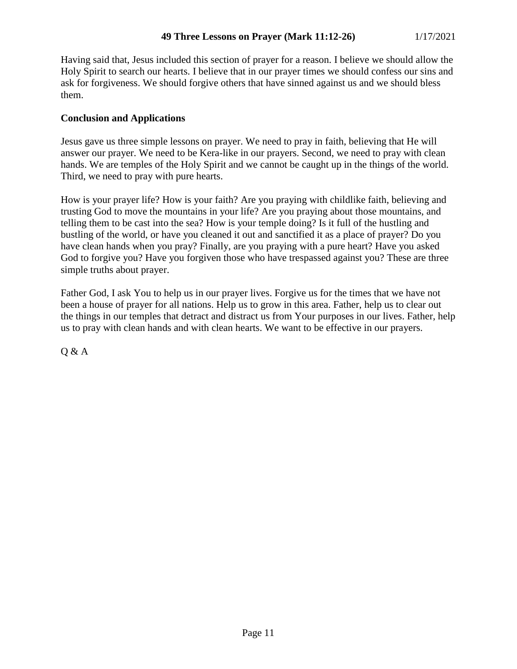Having said that, Jesus included this section of prayer for a reason. I believe we should allow the Holy Spirit to search our hearts. I believe that in our prayer times we should confess our sins and ask for forgiveness. We should forgive others that have sinned against us and we should bless them.

## **Conclusion and Applications**

Jesus gave us three simple lessons on prayer. We need to pray in faith, believing that He will answer our prayer. We need to be Kera-like in our prayers. Second, we need to pray with clean hands. We are temples of the Holy Spirit and we cannot be caught up in the things of the world. Third, we need to pray with pure hearts.

How is your prayer life? How is your faith? Are you praying with childlike faith, believing and trusting God to move the mountains in your life? Are you praying about those mountains, and telling them to be cast into the sea? How is your temple doing? Is it full of the hustling and bustling of the world, or have you cleaned it out and sanctified it as a place of prayer? Do you have clean hands when you pray? Finally, are you praying with a pure heart? Have you asked God to forgive you? Have you forgiven those who have trespassed against you? These are three simple truths about prayer.

Father God, I ask You to help us in our prayer lives. Forgive us for the times that we have not been a house of prayer for all nations. Help us to grow in this area. Father, help us to clear out the things in our temples that detract and distract us from Your purposes in our lives. Father, help us to pray with clean hands and with clean hearts. We want to be effective in our prayers.

Q & A